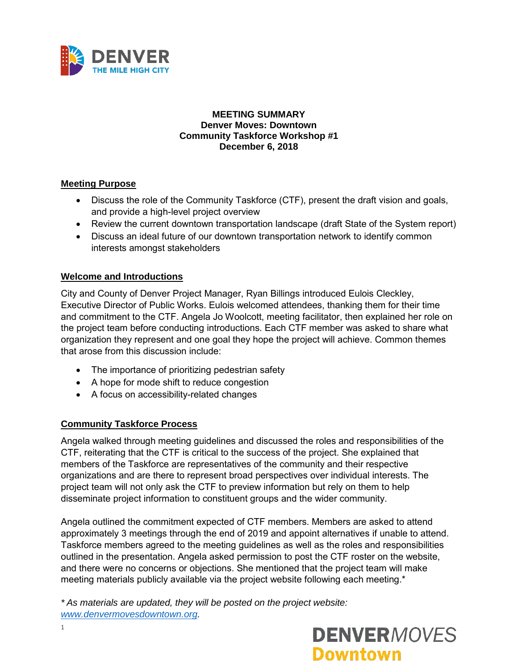

#### **MEETING SUMMARY Denver Moves: Downtown Community Taskforce Workshop #1 December 6, 2018**

#### **Meeting Purpose**

- Discuss the role of the Community Taskforce (CTF), present the draft vision and goals, and provide a high-level project overview
- Review the current downtown transportation landscape (draft State of the System report)
- Discuss an ideal future of our downtown transportation network to identify common interests amongst stakeholders

#### **Welcome and Introductions**

City and County of Denver Project Manager, Ryan Billings introduced Eulois Cleckley, Executive Director of Public Works. Eulois welcomed attendees, thanking them for their time and commitment to the CTF. Angela Jo Woolcott, meeting facilitator, then explained her role on the project team before conducting introductions. Each CTF member was asked to share what organization they represent and one goal they hope the project will achieve. Common themes that arose from this discussion include:

- The importance of prioritizing pedestrian safety
- A hope for mode shift to reduce congestion
- A focus on accessibility-related changes

#### **Community Taskforce Process**

Angela walked through meeting guidelines and discussed the roles and responsibilities of the CTF, reiterating that the CTF is critical to the success of the project. She explained that members of the Taskforce are representatives of the community and their respective organizations and are there to represent broad perspectives over individual interests. The project team will not only ask the CTF to preview information but rely on them to help disseminate project information to constituent groups and the wider community.

Angela outlined the commitment expected of CTF members. Members are asked to attend approximately 3 meetings through the end of 2019 and appoint alternatives if unable to attend. Taskforce members agreed to the meeting guidelines as well as the roles and responsibilities outlined in the presentation. Angela asked permission to post the CTF roster on the website, and there were no concerns or objections. She mentioned that the project team will make meeting materials publicly available via the project website following each meeting.\*

*\* As materials are updated, they will be posted on the project website: [www.denvermovesdowntown.org.](http://www.denvermovesdowntown.org/)* 

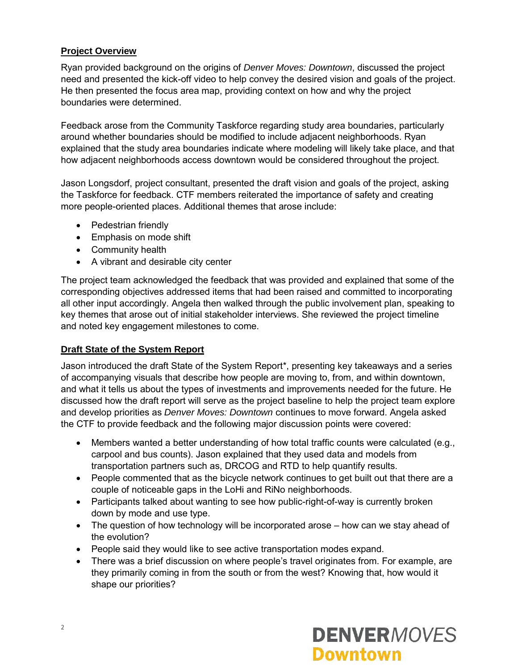## **Project Overview**

Ryan provided background on the origins of *Denver Moves: Downtown*, discussed the project need and presented the kick-off video to help convey the desired vision and goals of the project. He then presented the focus area map, providing context on how and why the project boundaries were determined.

Feedback arose from the Community Taskforce regarding study area boundaries, particularly around whether boundaries should be modified to include adjacent neighborhoods. Ryan explained that the study area boundaries indicate where modeling will likely take place, and that how adjacent neighborhoods access downtown would be considered throughout the project.

Jason Longsdorf, project consultant, presented the draft vision and goals of the project, asking the Taskforce for feedback. CTF members reiterated the importance of safety and creating more people-oriented places. Additional themes that arose include:

- Pedestrian friendly
- Emphasis on mode shift
- Community health
- A vibrant and desirable city center

The project team acknowledged the feedback that was provided and explained that some of the corresponding objectives addressed items that had been raised and committed to incorporating all other input accordingly. Angela then walked through the public involvement plan, speaking to key themes that arose out of initial stakeholder interviews. She reviewed the project timeline and noted key engagement milestones to come.

#### **Draft State of the System Report**

Jason introduced the draft State of the System Report\*, presenting key takeaways and a series of accompanying visuals that describe how people are moving to, from, and within downtown, and what it tells us about the types of investments and improvements needed for the future. He discussed how the draft report will serve as the project baseline to help the project team explore and develop priorities as *Denver Moves: Downtown* continues to move forward. Angela asked the CTF to provide feedback and the following major discussion points were covered:

- Members wanted a better understanding of how total traffic counts were calculated (e.g., carpool and bus counts). Jason explained that they used data and models from transportation partners such as, DRCOG and RTD to help quantify results.
- People commented that as the bicycle network continues to get built out that there are a couple of noticeable gaps in the LoHi and RiNo neighborhoods.
- Participants talked about wanting to see how public-right-of-way is currently broken down by mode and use type.
- The question of how technology will be incorporated arose how can we stay ahead of the evolution?
- People said they would like to see active transportation modes expand.
- There was a brief discussion on where people's travel originates from. For example, are they primarily coming in from the south or from the west? Knowing that, how would it shape our priorities?

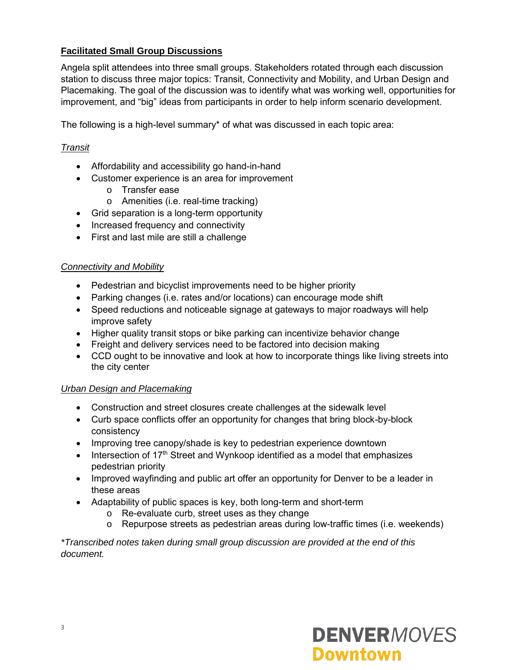## **Facilitated Small Group Discussions**

Angela split attendees into three small groups. Stakeholders rotated through each discussion station to discuss three major topics: Transit, Connectivity and Mobility, and Urban Design and Placemaking. The goal of the discussion was to identify what was working well, opportunities for improvement, and "big" ideas from participants in order to help inform scenario development.

The following is a high-level summary\* of what was discussed in each topic area:

#### *Transit*

- Affordability and accessibility go hand-in-hand
- Customer experience is an area for improvement
	- o Transfer ease
	- o Amenities (i.e. real-time tracking)
- Grid separation is a long-term opportunity
- Increased frequency and connectivity
- First and last mile are still a challenge

#### *Connectivity and Mobility*

- Pedestrian and bicyclist improvements need to be higher priority
- Parking changes (i.e. rates and/or locations) can encourage mode shift
- Speed reductions and noticeable signage at gateways to major roadways will help improve safety
- Higher quality transit stops or bike parking can incentivize behavior change
- Freight and delivery services need to be factored into decision making
- CCD ought to be innovative and look at how to incorporate things like living streets into the city center

#### *Urban Design and Placemaking*

- Construction and street closures create challenges at the sidewalk level
- Curb space conflicts offer an opportunity for changes that bring block-by-block consistency
- Improving tree canopy/shade is key to pedestrian experience downtown
- Intersection of 17<sup>th</sup> Street and Wynkoop identified as a model that emphasizes pedestrian priority
- Improved wayfinding and public art offer an opportunity for Denver to be a leader in these areas
- Adaptability of public spaces is key, both long-term and short-term
	- o Re-evaluate curb, street uses as they change
	- o Repurpose streets as pedestrian areas during low-traffic times (i.e. weekends)

*\*Transcribed notes taken during small group discussion are provided at the end of this document.* 

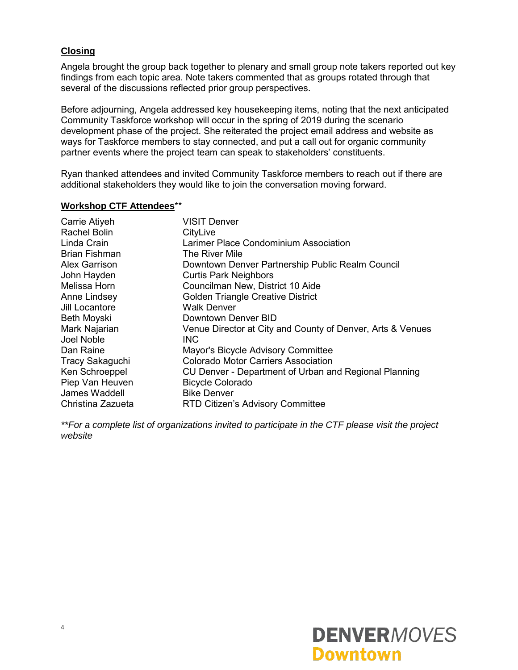#### **Closing**

Angela brought the group back together to plenary and small group note takers reported out key findings from each topic area. Note takers commented that as groups rotated through that several of the discussions reflected prior group perspectives.

Before adjourning, Angela addressed key housekeeping items, noting that the next anticipated Community Taskforce workshop will occur in the spring of 2019 during the scenario development phase of the project. She reiterated the project email address and website as ways for Taskforce members to stay connected, and put a call out for organic community partner events where the project team can speak to stakeholders' constituents.

Ryan thanked attendees and invited Community Taskforce members to reach out if there are additional stakeholders they would like to join the conversation moving forward.

#### **Workshop CTF Attendees**\*\*

| Carrie Atiyeh          | <b>VISIT Denver</b>                                        |
|------------------------|------------------------------------------------------------|
| Rachel Bolin           | CityLive                                                   |
| Linda Crain            | Larimer Place Condominium Association                      |
| <b>Brian Fishman</b>   | The River Mile                                             |
| <b>Alex Garrison</b>   | Downtown Denver Partnership Public Realm Council           |
| John Hayden            | <b>Curtis Park Neighbors</b>                               |
| Melissa Horn           | Councilman New, District 10 Aide                           |
| Anne Lindsey           | Golden Triangle Creative District                          |
| Jill Locantore         | <b>Walk Denver</b>                                         |
| Beth Moyski            | Downtown Denver BID                                        |
| Mark Najarian          | Venue Director at City and County of Denver, Arts & Venues |
| Joel Noble             | INC.                                                       |
| Dan Raine              | Mayor's Bicycle Advisory Committee                         |
| <b>Tracy Sakaguchi</b> | <b>Colorado Motor Carriers Association</b>                 |
| Ken Schroeppel         | CU Denver - Department of Urban and Regional Planning      |
| Piep Van Heuven        | <b>Bicycle Colorado</b>                                    |
| James Waddell          | <b>Bike Denver</b>                                         |
| Christina Zazueta      | RTD Citizen's Advisory Committee                           |

*\*\*For a complete list of organizations invited to participate in the CTF please visit the project website* 

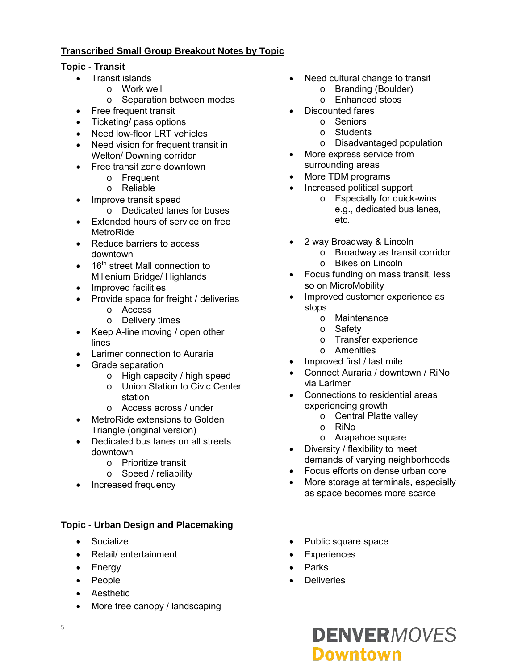## **Transcribed Small Group Breakout Notes by Topic**

## **Topic - Transit**

- Transit islands
	- o Work well
	- o Separation between modes
- Free frequent transit
- Ticketing/ pass options
- Need low-floor LRT vehicles
- Need vision for frequent transit in Welton/ Downing corridor
- Free transit zone downtown
	- o Frequent
	- o Reliable
- Improve transit speed
	- o Dedicated lanes for buses
- Extended hours of service on free **MetroRide**
- Reduce barriers to access downtown
- $\bullet$  16<sup>th</sup> street Mall connection to Millenium Bridge/ Highlands
- Improved facilities
- Provide space for freight / deliveries
	- o Access
	- o Delivery times
- Keep A-line moving / open other lines
- Larimer connection to Auraria
- Grade separation
	- o High capacity / high speed
	- o Union Station to Civic Center station
	- o Access across / under
- MetroRide extensions to Golden Triangle (original version)
- Dedicated bus lanes on all streets downtown
	- o Prioritize transit
	- o Speed / reliability
	- Increased frequency

## **Topic - Urban Design and Placemaking**

- Socialize
- Retail/ entertainment
- Energy
- People
- Aesthetic
- More tree canopy / landscaping
- Need cultural change to transit
	- o Branding (Boulder)
	- o Enhanced stops
- Discounted fares
	- o Seniors
	- o Students
	- o Disadvantaged population
- More express service from surrounding areas
- More TDM programs
- Increased political support
	- o Especially for quick-wins e.g., dedicated bus lanes, etc.
- 2 way Broadway & Lincoln
	- o Broadway as transit corridor
	- o Bikes on Lincoln
- Focus funding on mass transit, less so on MicroMobility
- Improved customer experience as stops
	- o Maintenance
	- o Safety
	- o Transfer experience
	- o Amenities
- Improved first / last mile
- Connect Auraria / downtown / RiNo via Larimer
- Connections to residential areas experiencing growth
	- o Central Platte valley
	- o RiNo
	- o Arapahoe square
- Diversity / flexibility to meet demands of varying neighborhoods
- Focus efforts on dense urban core
- More storage at terminals, especially as space becomes more scarce
- Public square space
- **Experiences**
- Parks
- **Deliveries**

# **DENVERMOVES Downtown**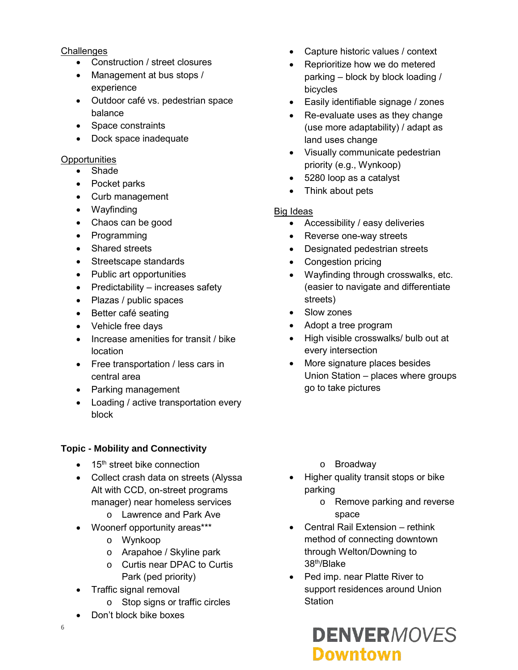#### **Challenges**

- Construction / street closures
- Management at bus stops / experience
- Outdoor café vs. pedestrian space balance
- Space constraints
- Dock space inadequate

#### **Opportunities**

- Shade
- Pocket parks
- Curb management
- Wayfinding
- Chaos can be good
- Programming
- Shared streets
- Streetscape standards
- Public art opportunities
- $\bullet$  Predictability increases safety
- Plazas / public spaces
- Better café seating
- Vehicle free days
- Increase amenities for transit / bike location
- Free transportation / less cars in central area
- Parking management
- Loading / active transportation every block

## **Topic - Mobility and Connectivity**

- $\bullet$  15<sup>th</sup> street bike connection
- Collect crash data on streets (Alyssa Alt with CCD, on-street programs manager) near homeless services
	- o Lawrence and Park Ave
	- Woonerf opportunity areas\*\*\*
		- o Wynkoop
		- o Arapahoe / Skyline park
		- o Curtis near DPAC to Curtis Park (ped priority)
- Traffic signal removal
	- o Stop signs or traffic circles
- Don't block bike boxes
- Capture historic values / context
- Reprioritize how we do metered parking – block by block loading / bicycles
- Easily identifiable signage / zones
- Re-evaluate uses as they change (use more adaptability) / adapt as land uses change
- Visually communicate pedestrian priority (e.g., Wynkoop)
- 5280 loop as a catalyst
- Think about pets

## Big Ideas

- Accessibility / easy deliveries
- Reverse one-way streets
- Designated pedestrian streets
- Congestion pricing
- Wayfinding through crosswalks, etc. (easier to navigate and differentiate streets)
- Slow zones
- Adopt a tree program
- High visible crosswalks/ bulb out at every intersection
- More signature places besides Union Station – places where groups go to take pictures
	- o Broadway
- Higher quality transit stops or bike parking
	- o Remove parking and reverse space
- Central Rail Extension rethink method of connecting downtown through Welton/Downing to 38th/Blake
- Ped imp. near Platte River to support residences around Union **Station**

## **DENVERMOVES Downtown**